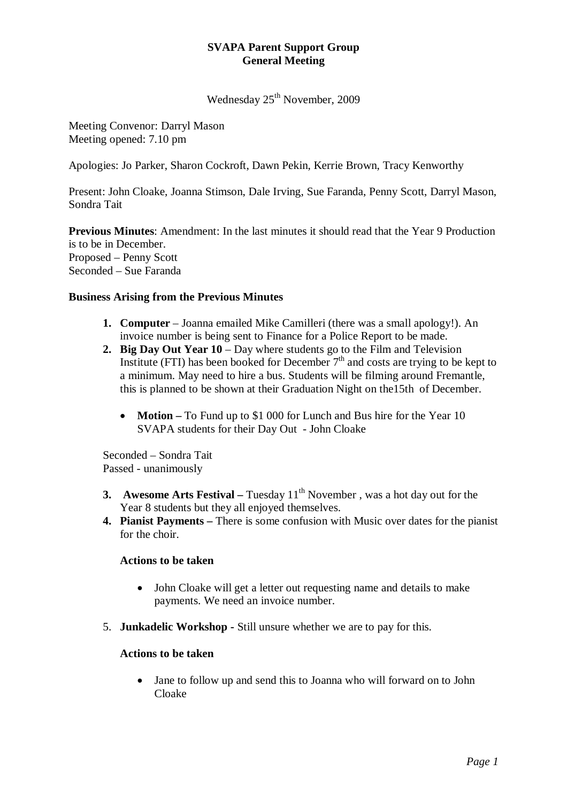## **SVAPA Parent Support Group General Meeting**

Wednesday 25<sup>th</sup> November, 2009

Meeting Convenor: Darryl Mason Meeting opened: 7.10 pm

Apologies: Jo Parker, Sharon Cockroft, Dawn Pekin, Kerrie Brown, Tracy Kenworthy

Present: John Cloake, Joanna Stimson, Dale Irving, Sue Faranda, Penny Scott, Darryl Mason, Sondra Tait

**Previous Minutes**: Amendment: In the last minutes it should read that the Year 9 Production is to be in December. Proposed – Penny Scott Seconded – Sue Faranda

#### **Business Arising from the Previous Minutes**

- **1. Computer**  Joanna emailed Mike Camilleri (there was a small apology!). An invoice number is being sent to Finance for a Police Report to be made.
- **2. Big Day Out Year 10**  Day where students go to the Film and Television Institute (FTI) has been booked for December  $7<sup>th</sup>$  and costs are trying to be kept to a minimum. May need to hire a bus. Students will be filming around Fremantle, this is planned to be shown at their Graduation Night on the15th of December.
	- **Motion** To Fund up to \$1 000 for Lunch and Bus hire for the Year 10 SVAPA students for their Day Out - John Cloake

Seconded – Sondra Tait Passed - unanimously

- **3. Awesome Arts Festival** Tuesday 11<sup>th</sup> November, was a hot day out for the Year 8 students but they all enjoyed themselves.
- **4. Pianist Payments** There is some confusion with Music over dates for the pianist for the choir.

#### **Actions to be taken**

- John Cloake will get a letter out requesting name and details to make payments. We need an invoice number.
- 5. **Junkadelic Workshop** Still unsure whether we are to pay for this.

#### **Actions to be taken**

• Jane to follow up and send this to Joanna who will forward on to John Cloake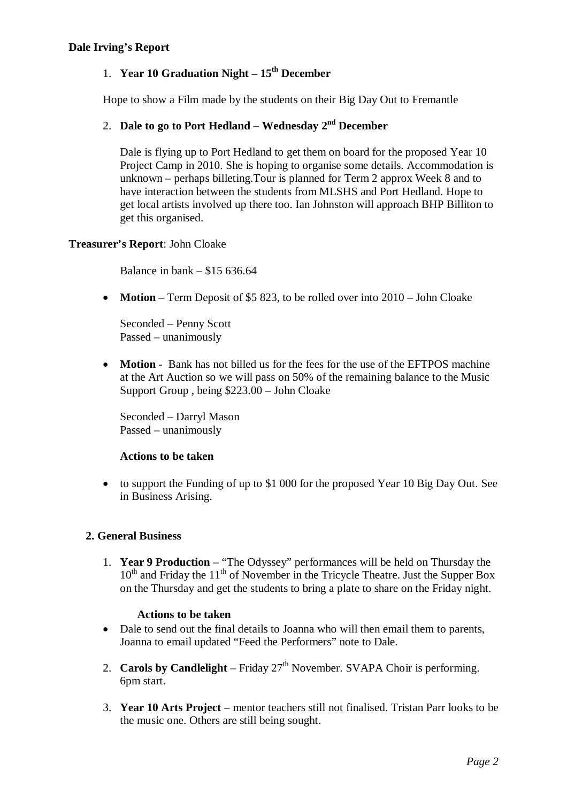## 1. **Year 10 Graduation Night – 15th December**

Hope to show a Film made by the students on their Big Day Out to Fremantle

# 2. **Dale to go to Port Hedland – Wednesday 2nd December**

Dale is flying up to Port Hedland to get them on board for the proposed Year 10 Project Camp in 2010. She is hoping to organise some details. Accommodation is unknown – perhaps billeting.Tour is planned for Term 2 approx Week 8 and to have interaction between the students from MLSHS and Port Hedland. Hope to get local artists involved up there too. Ian Johnston will approach BHP Billiton to get this organised.

## **Treasurer's Report**: John Cloake

Balance in bank – \$15 636.64

• **Motion** – Term Deposit of \$5 823, to be rolled over into 2010 – John Cloake

Seconded – Penny Scott Passed – unanimously

• **Motion** - Bank has not billed us for the fees for the use of the EFTPOS machine at the Art Auction so we will pass on 50% of the remaining balance to the Music Support Group , being \$223.00 – John Cloake

Seconded – Darryl Mason Passed – unanimously

## **Actions to be taken**

• to support the Funding of up to \$1 000 for the proposed Year 10 Big Day Out. See in Business Arising.

## **2. General Business**

1. **Year 9 Production** – "The Odyssey" performances will be held on Thursday the  $10<sup>th</sup>$  and Friday the  $11<sup>th</sup>$  of November in the Tricycle Theatre. Just the Supper Box on the Thursday and get the students to bring a plate to share on the Friday night.

#### **Actions to be taken**

- Dale to send out the final details to Joanna who will then email them to parents, Joanna to email updated "Feed the Performers" note to Dale.
- 2. **Carols by Candlelight** Friday  $27<sup>th</sup>$  November. SVAPA Choir is performing. 6pm start.
- 3. **Year 10 Arts Project**  mentor teachers still not finalised. Tristan Parr looks to be the music one. Others are still being sought.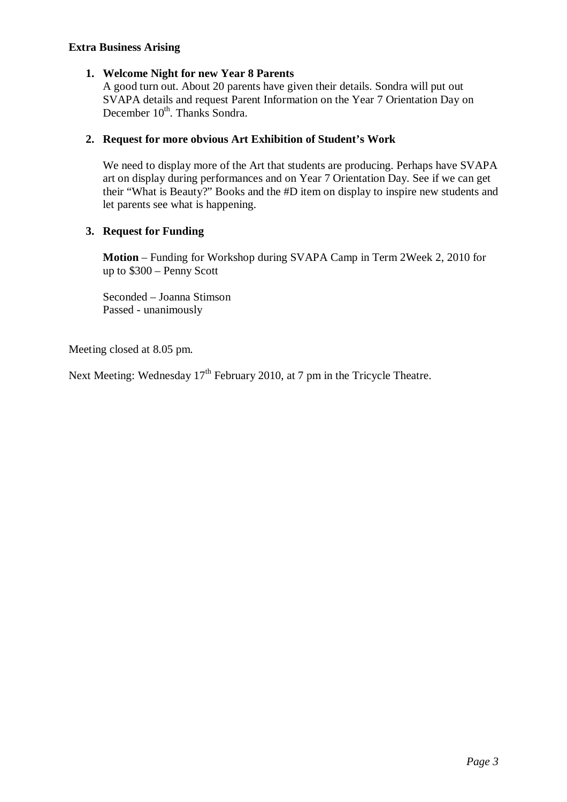#### **Extra Business Arising**

#### **1. Welcome Night for new Year 8 Parents**

A good turn out. About 20 parents have given their details. Sondra will put out SVAPA details and request Parent Information on the Year 7 Orientation Day on December 10<sup>th</sup>. Thanks Sondra.

#### **2. Request for more obvious Art Exhibition of Student's Work**

We need to display more of the Art that students are producing. Perhaps have SVAPA art on display during performances and on Year 7 Orientation Day. See if we can get their "What is Beauty?" Books and the #D item on display to inspire new students and let parents see what is happening.

#### **3. Request for Funding**

**Motion** – Funding for Workshop during SVAPA Camp in Term 2Week 2, 2010 for up to \$300 – Penny Scott

Seconded – Joanna Stimson Passed - unanimously

Meeting closed at 8.05 pm.

Next Meeting: Wednesday 17<sup>th</sup> February 2010, at 7 pm in the Tricycle Theatre.